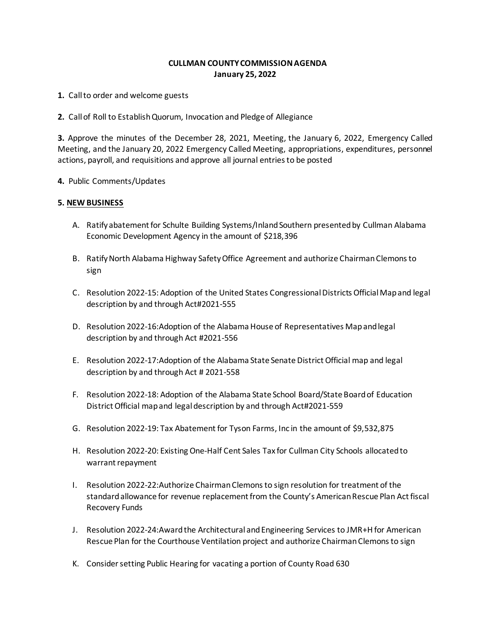## **CULLMAN COUNTY COMMISSION AGENDA January 25, 2022**

**1.** Call to order and welcome guests

**2.** Call of Roll to Establish Quorum, Invocation and Pledge of Allegiance

**3.** Approve the minutes of the December 28, 2021, Meeting, the January 6, 2022, Emergency Called Meeting, and the January 20, 2022 Emergency Called Meeting, appropriations, expenditures, personnel actions, payroll, and requisitions and approve all journal entries to be posted

**4.** Public Comments/Updates

## **5. NEW BUSINESS**

- A. Ratify abatement for Schulte Building Systems/Inland Southern presented by Cullman Alabama Economic Development Agency in the amount of \$218,396
- B. Ratify North Alabama Highway Safety Office Agreement and authorize Chairman Clemons to sign
- C. Resolution 2022-15: Adoption of the United States Congressional Districts Official Map and legal description by and through Act#2021-555
- D. Resolution 2022-16:Adoption of the Alabama House of Representatives Map and legal description by and through Act #2021-556
- E. Resolution 2022-17:Adoption of the Alabama State Senate District Official map and legal description by and through Act # 2021-558
- F. Resolution 2022-18: Adoption of the Alabama State School Board/State Board of Education District Official map and legal description by and through Act#2021-559
- G. Resolution 2022-19: Tax Abatement for Tyson Farms, Inc in the amount of \$9,532,875
- H. Resolution 2022-20: Existing One-Half Cent Sales Tax for Cullman City Schools allocated to warrant repayment
- I. Resolution 2022-22:Authorize Chairman Clemons to sign resolution for treatment of the standard allowance for revenue replacement from the County's American Rescue Plan Act fiscal Recovery Funds
- J. Resolution 2022-24:Award the Architectural and Engineering Services to JMR+H for American Rescue Plan for the Courthouse Ventilation project and authorize Chairman Clemons to sign
- K. Consider setting Public Hearing for vacating a portion of County Road 630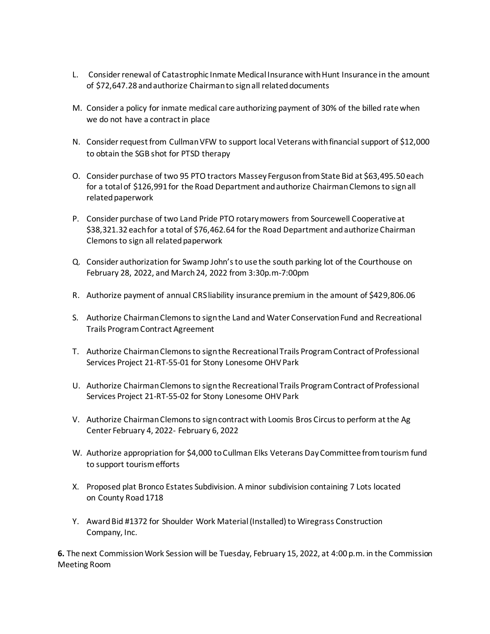- L. Consider renewal of Catastrophic Inmate Medical Insurance with Hunt Insurance in the amount of \$72,647.28 and authorize Chairman to sign all related documents
- M. Consider a policy for inmate medical care authorizing payment of 30% of the billed rate when we do not have a contract in place
- N. Consider request from Cullman VFW to support local Veterans with financial support of \$12,000 to obtain the SGB shot for PTSD therapy
- O. Consider purchase of two 95 PTO tractors Massey Ferguson fromState Bid at \$63,495.50 each for a total of \$126,991 for the Road Department and authorize Chairman Clemons to sign all related paperwork
- P. Consider purchase of two Land Pride PTO rotary mowers from Sourcewell Cooperative at \$38,321.32 each for a total of \$76,462.64 for the Road Department and authorize Chairman Clemons to sign all related paperwork
- Q. Consider authorization for Swamp John's to use the south parking lot of the Courthouse on February 28, 2022, and March 24, 2022 from 3:30p.m-7:00pm
- R. Authorize payment of annual CRS liability insurance premium in the amount of \$429,806.06
- S. Authorize Chairman Clemons to sign the Land and Water Conservation Fund and Recreational Trails Program Contract Agreement
- T. Authorize Chairman Clemons to sign the Recreational Trails Program Contract of Professional Services Project 21-RT-55-01 for Stony Lonesome OHV Park
- U. Authorize Chairman Clemons to sign the Recreational Trails Program Contract of Professional Services Project 21-RT-55-02 for Stony Lonesome OHV Park
- V. Authorize Chairman Clemons to sign contract with Loomis Bros Circus to perform at the Ag Center February 4, 2022- February 6, 2022
- W. Authorize appropriation for \$4,000 to Cullman Elks Veterans Day Committee from tourism fund to support tourism efforts
- X. Proposed plat Bronco Estates Subdivision. A minor subdivision containing 7 Lots located on County Road 1718
- Y. Award Bid #1372 for Shoulder Work Material (Installed) to Wiregrass Construction Company, Inc.

**6.** The next Commission Work Session will be Tuesday, February 15, 2022, at 4:00 p.m. in the Commission Meeting Room